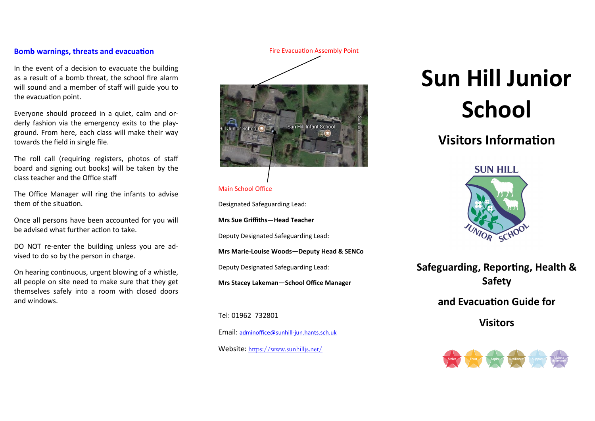# **Bomb warnings, threats and evacuation**

In the event of a decision to evacuate the building as a result of a bomb threat, the school fire alarm will sound and a member of staff will guide you to the evacuation point.

Everyone should proceed in a quiet, calm and orderly fashion via the emergency exits to the playground. From here, each class will make their way towards the field in single file.

The roll call (requiring registers, photos of staff board and signing out books) will be taken by the class teacher and the Office staff

The Office Manager will ring the infants to advise them of the situation.

Once all persons have been accounted for you will be advised what further action to take.

DO NOT re-enter the building unless you are advised to do so by the person in charge.

On hearing continuous, urgent blowing of a whistle, all people on site need to make sure that they get themselves safely into a room with closed doors and windows.

Fire Evacuation Assembly Point



### Main School Office

Designated Safeguarding Lead:

**Mrs Sue Griffiths—Head Teacher**

Deputy Designated Safeguarding Lead:

**Mrs Marie-Louise Woods—Deputy Head & SENCo**

Deputy Designated Safeguarding Lead:

**Mrs Stacey Lakeman—School Office Manager**

Tel: 01962 732801

Email: [adminoffice@sunhill](mailto:adminoffice@hiltingbury-jun.hants.sch.uk)-jun.hants.sch.uk

Website: <https://www.sunhilljs.net/>

# **Sun Hill Junior School**

# **Visitors Information**



**Safeguarding, Reporting, Health & Safety** 

**and Evacuation Guide for** 

**Visitors**